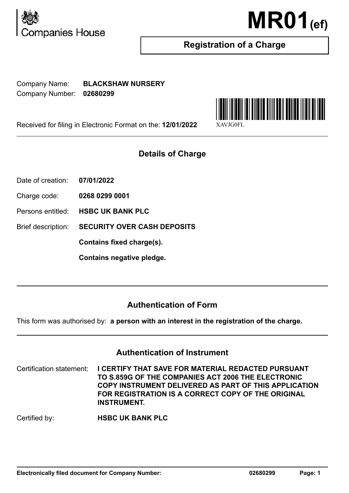



# **Registration of a Charge**

Company Name: **BLACKSHAW NURSERY** Company Number: **02680299**

Received for filing in Electronic Format on the: **12/01/2022** 

# **Details of Charge**

- Date of creation: **07/01/2022**
- Charge code: **0268 0299 0001**
- Persons entitled: **HSBC UK BANK PLC**

Brief description: **SECURITY OVER CASH DEPOSITS**

**Contains fixed charge(s).**

**Contains negative pledge.**

# **Authentication of Form**

This form was authorised by: **a person with an interest in the registration of the charge.**

## **Authentication of Instrument**

Certification statement: **I CERTIFY THAT SAVE FOR MATERIAL REDACTED PURSUANT TO S.859G OF THE COMPANIES ACT 2006 THE ELECTRONIC COPY INSTRUMENT DELIVERED AS PART OF THIS APPLICATION FOR REGISTRATION IS A CORRECT COPY OF THE ORIGINAL INSTRUMENT.**

Certified by: **HSBC UK BANK PLC**

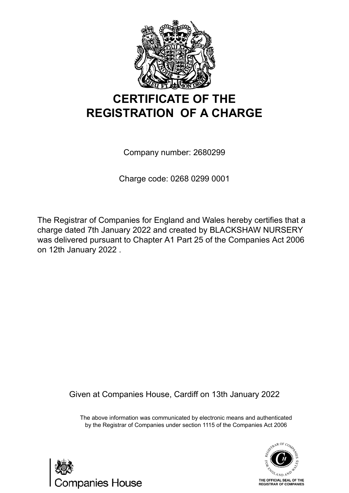

# **CERTIFICATE OF THE REGISTRATION OF A CHARGE**

Company number: 2680299

Charge code: 0268 0299 0001

The Registrar of Companies for England and Wales hereby certifies that a charge dated 7th January 2022 and created by BLACKSHAW NURSERY was delivered pursuant to Chapter A1 Part 25 of the Companies Act 2006 on 12th January 2022 .

Given at Companies House, Cardiff on 13th January 2022

The above information was communicated by electronic means and authenticated by the Registrar of Companies under section 1115 of the Companies Act 2006



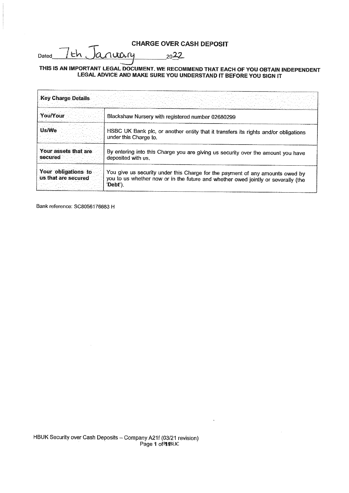## **CHARGE OVER CASH DEPOSIT**

7th Ja  $Dated$ <sub>\_\_\_</sub> nuary  $2022$ 

## THIS IS AN IMPORTANT LEGAL DOCUMENT. WE RECOMMEND THAT EACH OF YOU OBTAIN INDEPENDENT LEGAL ADVICE AND MAKE SURE YOU UNDERSTAND IT BEFORE YOU SIGN IT

| <b>Key Charge Details</b>                  |                                                                                                                                                                                |
|--------------------------------------------|--------------------------------------------------------------------------------------------------------------------------------------------------------------------------------|
| You/Your                                   | Blackshaw Nursery with registered number 02680299                                                                                                                              |
| Us/We                                      | HSBC UK Bank plc, or another entity that it transfers its rights and/or obligations<br>under this Charge to.                                                                   |
| Your assets that are<br>secured            | By entering into this Charge you are giving us security over the amount you have<br>deposited with us.                                                                         |
| Your obligations to<br>us that are secured | You give us security under this Charge for the payment of any amounts owed by<br>you to us whether now or in the future and whether owed jointly or severally (the<br>'Debt'). |

Bank reference: SC8056176683 H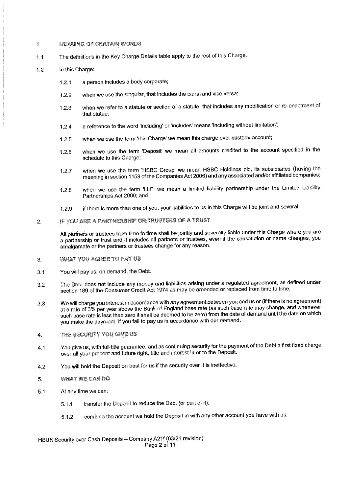#### **MEANING OF CERTAIN WORDS**  $\mathbf{1}$ .

The definitions in the Key Charge Details table apply to the rest of this Charge.  $1.1$ 

#### $12$ In this Charge:

- a person includes a body corporate;  $1.2.1$
- when we use the singular, that includes the plural and vice versa;  $12.2$
- when we refer to a statute or section of a statute, that includes any modification or re-enactment of  $1.2.3$ that statue:
- a reference to the word 'including' or 'includes' means 'including without limitation';  $1.2.4$
- when we use the term 'this Charge' we mean this charge over custody account;  $1.2.5$
- when we use the term 'Deposit' we mean all amounts credited to the account specified in the  $1.2.6$ schedule to this Charge;
- when we use the term 'HSBC Group' we mean HSBC Holdings plc, its subsidiaries (having the  $1.2.7$ meaning in section 1159 of the Companies Act 2006) and any associated and/or affiliated companies;
- when we use the term 'LLP' we mean a limited liability partnership under the Limited Liability  $1.2.8$ Partnerships Act 2000; and
- if there is more than one of you, your liabilities to us in this Charge will be joint and several.  $1.2.9$

#### IF YOU ARE A PARTNERSHIP OR TRUSTEES OF A TRUST  $\overline{2}$ .

All partners or trustees from time to time shall be jointly and severally liable under this Charge where you are a partnership or trust and it includes all partners or trustees, even if the constitution or name changes, you amalgamate or the partners or trustees change for any reason.

- 3. **WHAT YOU AGREE TO PAY US**
- You will pay us, on demand, the Debt.  $3.1$
- The Debt does not include any money and liabilities arising under a regulated agreement, as defined under  $3.2$ section 189 of the Consumer Credit Act 1974 as may be amended or replaced from time to time.
- We will charge you interest in accordance with any agreement between you and us or (if there is no agreement) 3.3 at a rate of 3% per year above the Bank of England base rate (as such base rate may change, and whenever such base rate is less than zero it shall be deemed to be zero) from the date of demand until the date on which you make the payment, if you fail to pay us in accordance with our demand.
- THE SECURITY YOU GIVE US 4.
- You give us, with full title guarantee, and as continuing security for the payment of the Debt a first fixed charge  $4.1$ over all your present and future right, title and interest in or to the Deposit.
- You will hold the Deposit on trust for us if the security over it is ineffective.  $4.2$
- **WHAT WE CAN DO** 5.
- $5.1$ At any time we can:
	- transfer the Deposit to reduce the Debt (or part of it);  $5.1.1$
	- combine the account we hold the Deposit in with any other account you have with us;  $5.1.2$

HBUK Security over Cash Deposits - Company A21f (03/21 revision) Page 2 of 11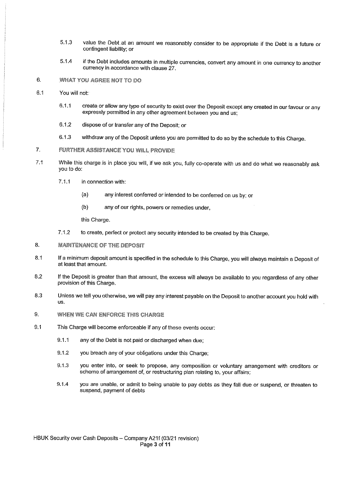- 5.1.3 value the Debt at an amount we reasonably consider to be appropriate if the Debt is a future or contingent liability; or
- 5.1.4 if the Debt includes amounts in multiple currencies, convert any amount in one currency to another currency in accordance with clause 27.
- $6.$ **WHAT YOU AGREE NOT TO DO**
- $6.1$ You will not:
	- $6.1.1$ create or allow any type of security to exist over the Deposit except any created in our favour or any expressly permitted in any other agreement between you and us;
	- $6.1.2$ dispose of or transfer any of the Deposit; or
	- 6.1.3 withdraw any of the Deposit unless you are permitted to do so by the schedule to this Charge.

#### **FURTHER ASSISTANCE YOU WILL PROVIDE**  $\overline{7}$ .

- $7.1$ While this charge is in place you will, if we ask you, fully co-operate with us and do what we reasonably ask you to do:
	- $7.1.1$ in connection with:
		- $(a)$ any interest conferred or intended to be conferred on us by: or
		- $(b)$ any of our rights, powers or remedies under.

this Charge.

- $7.1.2$ to create, perfect or protect any security intended to be created by this Charge.
- 8. **MAINTENANCE OF THE DEPOSIT**
- If a minimum deposit amount is specified in the schedule to this Charge, you will always maintain a Deposit of 8.1 at least that amount.
- If the Deposit is greater than that amount, the excess will always be available to you regardless of any other  $8.2$ provision of this Charge.
- 8.3 Unless we tell you otherwise, we will pay any interest payable on the Deposit to another account you hold with  $HS$
- 9. **WHEN WE CAN ENFORCE THIS CHARGE**
- $9.1$ This Charge will become enforceable if any of these events occur:
	- $9.1.1$ any of the Debt is not paid or discharged when due;
	- 9.1.2 you breach any of your obligations under this Charge;
	- 9.1.3 you enter into, or seek to propose, any composition or voluntary arrangement with creditors or scheme of arrangement of, or restructuring plan relating to, your affairs;
	- $9.14$ you are unable, or admit to being unable to pay debts as they fall due or suspend, or threaten to suspend, payment of debts

HBUK Security over Cash Deposits - Company A21f (03/21 revision) Page 3 of 11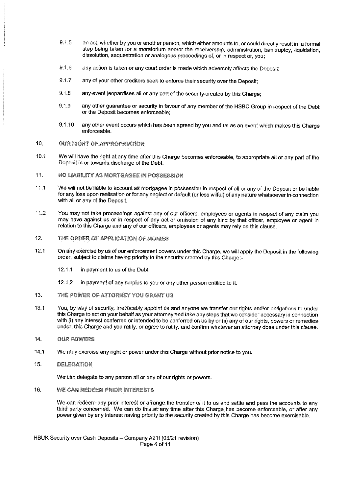- $9.1.5$ an act, whether by you or another person, which either amounts to, or could directly result in, a formal step being taken for a moratorium and/or the receivership, administration, bankruptcy, liquidation, dissolution, sequestration or analogous proceedings of, or in respect of, you:
- 9.1.6 any action is taken or any court order is made which adversely affects the Deposit:
- 9.1.7 any of your other creditors seek to enforce their security over the Deposit:
- $9.1.8$ any event jeopardises all or any part of the security created by this Charge;
- $9.1.9$ any other guarantee or security in favour of any member of the HSBC Group in respect of the Debt or the Deposit becomes enforceable;
- any other event occurs which has been agreed by you and us as an event which makes this Charge 9.1.10 enforceable.
- $10.$ **OUR RIGHT OF APPROPRIATION**
- We will have the right at any time after this Charge becomes enforceable, to appropriate all or any part of the  $10.1$ Deposit in or towards discharge of the Debt.
- **NO LIABILITY AS MORTGAGEE IN POSSESSION**  $11.$
- We will not be liable to account as mortgagee in possession in respect of all or any of the Deposit or be liable  $11.1$ for any loss upon realisation or for any neglect or default (unless wilful) of any nature whatsoever in connection with all or any of the Deposit.
- $11.2$ You may not take proceedings against any of our officers, employees or agents in respect of any claim you mav have against us or in respect of any act or omission of any kind by that officer, employee or agent in relation to this Charge and any of our officers, employees or agents may rely on this clause.
- $12.$ THE ORDER OF APPLICATION OF MONIES
- $12.1$ On any exercise by us of our enforcement powers under this Charge, we will apply the Deposit in the following order, subject to claims having priority to the security created by this Charge:-
	- $12.1.1$ in payment to us of the Debt.
	- in payment of any surplus to you or any other person entitled to it. 12.1.2
- 13. THE POWER OF ATTORNEY YOU GRANT US
- $13.1$ You, by way of security, irrevocably appoint us and anyone we transfer our rights and/or obligations to under this Charge to act on your behalf as your attorney and take any steps that we consider necessary in connection with (i) any interest conferred or intended to be conferred on us by or (ii) any of our rights, powers or remedies under, this Charge and you ratify, or agree to ratify, and confirm whatever an attorney does under this clause.
- 14. **OUR POWERS**
- $14.1$ We may exercise any right or power under this Charge without prior notice to you.
- 15. **DELEGATION**

We can delegate to any person all or any of our rights or powers.

16. **WE CAN REDEEM PRIOR INTERESTS** 

> We can redeem any prior interest or arrange the transfer of it to us and settle and pass the accounts to any third party concerned. We can do this at any time after this Charge has become enforceable, or after any power given by any interest having priority to the security created by this Charge has become exercisable.

HBUK Security over Cash Deposits - Company A21f (03/21 revision) Page 4 of 11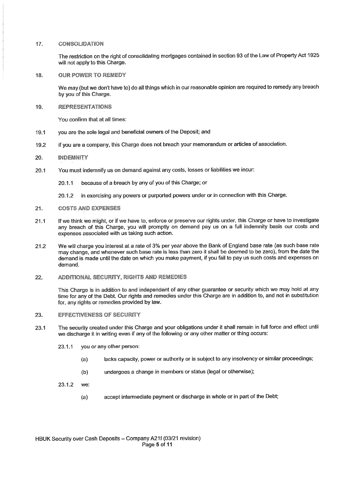#### $17.$ CONSOLIDATION

The restriction on the right of consolidating mortgages contained in section 93 of the Law of Property Act 1925 will not apply to this Charge.

18. **OUR POWER TO REMEDY** 

> We may (but we don't have to) do all things which in our reasonable opinion are required to remedy any breach by you of this Charge.

**REPRESENTATIONS** 19.

You confirm that at all times:

- $19.1$ you are the sole legal and beneficial owners of the Deposit; and
- if you are a company, this Charge does not breach your memorandum or articles of association. 19.2

#### 20. **INDEMNITY**

- You must indemnify us on demand against any costs, losses or liabilities we incur:  $20.1$ 
	- because of a breach by any of you of this Charge; or 20.1.1
	- in exercising any powers or purported powers under or in connection with this Charge.  $20.1.2$
- 21. **COSTS AND EXPENSES**
- If we think we might, or if we have to, enforce or preserve our rights under, this Charge or have to investigate  $21.1$ any breach of this Charge, you will promptly on demand pay us on a full indemnity basis our costs and expenses associated with us taking such action.
- We will charge you interest at a rate of 3% per year above the Bank of England base rate (as such base rate  $21.2$ may change, and whenever such base rate is less than zero it shall be deemed to be zero), from the date the demand is made until the date on which you make payment, if you fail to pay us such costs and expenses on demand.
- 22. **ADDITIONAL SECURITY, RIGHTS AND REMEDIES**

This Charge is in addition to and independent of any other quarantee or security which we may hold at any time for any of the Debt. Our rights and remedies under this Charge are in addition to, and not in substitution for, any rights or remedies provided by law.

#### **EFFECTIVENESS OF SECURITY** 23.

- The security created under this Charge and your obligations under it shall remain in full force and effect until 23.1 we discharge it in writing even if any of the following or any other matter or thing occurs:
	- you or any other person:  $23.1.1$ 
		- lacks capacity, power or authority or is subject to any insolvency or similar proceedings;  $(a)$
		- undergoes a change in members or status (legal or otherwise);  $(b)$
	- 23.1.2 we:
		- accept intermediate payment or discharge in whole or in part of the Debt;  $(a)$

HBUK Security over Cash Deposits - Company A21f (03/21 revision) Page 5 of 11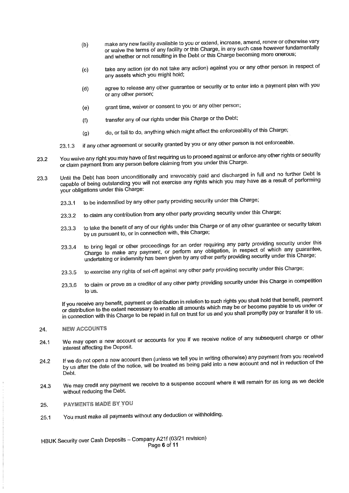- make any new facility available to you or extend, increase, amend, renew or otherwise vary  $(b)$ or waive the terms of any facility or this Charge, in any such case however fundamentally and whether or not resulting in the Debt or this Charge becoming more onerous;
- take any action (or do not take any action) against you or any other person in respect of  $(c)$ any assets which you might hold;
- agree to release any other guarantee or security or to enter into a payment plan with you  $(d)$ or any other person;
- grant time, waiver or consent to you or any other person;  $(e)$
- transfer any of our rights under this Charge or the Debt;  $(f)$
- do, or fail to do, anything which might affect the enforceability of this Charge;  $(a)$
- if any other agreement or security granted by you or any other person is not enforceable. 23.1.3
- You waive any right you may have of first requiring us to proceed against or enforce any other rights or security 23.2 or claim payment from any person before claiming from you under this Charge.
- Until the Debt has been unconditionally and irrevocably paid and discharged in full and no further Debt is 23.3 capable of being outstanding you will not exercise any rights which you may have as a result of performing your obligations under this Charge:
	- to be indemnified by any other party providing security under this Charge; 23.3.1
	- to claim any contribution from any other party providing security under this Charge; 23:3.2
	- to take the benefit of any of our rights under this Charge or of any other guarantee or security taken 23.3.3 by us pursuant to, or in connection with, this Charge;
	- to bring legal or other proceedings for an order requiring any party providing security under this 23.3.4 Charge to make any payment, or perform any obligation, in respect of which any guarantee, undertaking or indemnity has been given by any other party providing security under this Charge;
	- to exercise any rights of set-off against any other party providing security under this Charge; 23.3.5
	- to claim or prove as a creditor of any other party providing security under this Charge in competition 23,3:6 to us.

If you receive any benefit, payment or distribution in relation to such rights you shall hold that benefit, payment or distribution to the extent necessary to enable all amounts which may be or become payable to us under or in connection with this Charge to be repaid in full on trust for us and you shall promptly pay or transfer it to us.

#### **NEW ACCOUNTS** 24.

- We may open a new account or accounts for you if we receive notice of any subsequent charge or other 24.1 interest affecting the Deposit.
- If we do not open a new account then (unless we tell you in writing otherwise) any payment from you received  $24.2$ by us after the date of the notice, will be treated as being paid into a new account and not in reduction of the Debt.
- We may credit any payment we receive to a suspense account where it will remain for as long as we decide 24.3 without reducing the Debt.
- **PAYMENTS MADE BY YOU** 25.
- You must make all payments without any deduction or withholding. 25.1

HBUK Security over Cash Deposits - Company A21f (03/21 revision) Page 6 of 11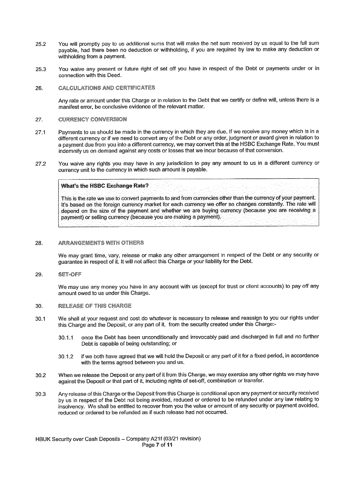- You will promptly pay to us additional sums that will make the net sum received by us equal to the full sum 25.2 payable, had there been no deduction or withholding, if you are required by law to make any deduction or withholding from a payment.
- You waive any present or future right of set off you have in respect of the Debt or payments under or in 25.3 connection with this Deed.
- 26. **CALCULATIONS AND CERTIFICATES**

Any rate or amount under this Charge or in relation to the Debt that we certify or define will, unless there is a manifest error, be conclusive evidence of the relevant matter.

#### **CURRENCY CONVERSION** 27.

- 27.1 Payments to us should be made in the currency in which they are due. If we receive any money which is in a different currency or if we need to convert any of the Debt or any order, judgment or award given in relation to a payment due from you into a different currency, we may convert this at the HSBC Exchange Rate. You must indemnify us on demand against any costs or losses that we incur because of that conversion.
- You waive any rights you may have in any jurisdiction to pay any amount to us in a different currency or 27.2 currency unit to the currency in which such amount is payable.

### **What's the HSBC Exchange Rate?**

This is the rate we use to convert payments to and from currencies other than the currency of your payment. It's based on the foreign currency market for each currency we offer so changes constantly. The rate will depend on the size of the payment and whether we are buying currency (because you are receiving a payment) or selling currency (because you are making a payment).

#### 28. **ARRANGEMENTS WITH OTHERS**

We may grant time, vary, release or make any other arrangement in respect of the Debt or any security or quarantee in respect of it. It will not affect this Charge or your liability for the Debt.

#### SET-OFF 29.

We may use any money you have in any account with us (except for trust or client accounts) to pay off any amount owed to us under this Charge.

#### 30. **RELEASE OF THIS CHARGE**

- We shall at your request and cost do whatever is necessary to release and reassign to you our rights under  $30.1$ this Charge and the Deposit, or any part of it, from the security created under this Charge:
	- once the Debt has been unconditionally and irrevocably paid and discharged in full and no further  $30.11$ Debt is capable of being outstanding; or
	- if we both have agreed that we will hold the Deposit or any part of it for a fixed period, in accordance  $-30.1.2$ with the terms agreed between you and us.
- When we release the Deposit or any part of it from this Charge, we may exercise any other rights we may have 30.2 against the Deposit or that part of it, including rights of set-off, combination or transfer.
- Any release of this Charge or the Deposit from this Charge is conditional upon any payment or security received  $30.3$ by us in respect of the Debt not being avoided, reduced or ordered to be refunded under any law relating to insolvency. We shall be entitled to recover from you the value or amount of any security or payment avoided, reduced or ordered to be refunded as if such release had not occurred.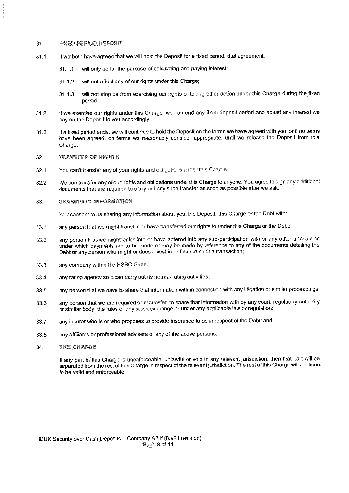#### $31<sup>1</sup>$ **FIXED PERIOD DEPOSIT**

- If we both have agreed that we will hold the Deposit for a fixed period, that agreement:  $31.1$ 
	- will only be for the purpose of calculating and paying interest;  $31.11$
	- $31.1.2$ will not affect any of our rights under this Charge;
	- will not stop us from exercising our rights or taking other action under this Charge during the fixed 31.1.3 period.
- If we exercise our rights under this Charge, we can end any fixed deposit period and adjust any interest we  $31.2$ pay on the Deposit to you accordingly.
- If a fixed period ends, we will continue to hold the Deposit on the terms we have agreed with you, or if no terms  $31.3$ have been agreed, on terms we reasonably consider appropriate, until we release the Deposit from this Charge.
- **TRANSFER OF RIGHTS** 32.
- You can't transfer any of your rights and obligations under this Charge.  $32.1$
- We can transfer any of our rights and obligations under this Charge to anyone. You agree to sign any additional  $32.2$ documents that are required to carry out any such transfer as soon as possible after we ask.
- 33. **SHARING OF INFORMATION**

You consent to us sharing any information about you, the Deposit, this Charge or the Debt with:

- any person that we might transfer or have transferred our rights to under this Charge or the Debt; 33.1
- any person that we might enter into or have entered into any sub-participation with or any other transaction 33.2 under which payments are to be made or may be made by reference to any of the documents detailing the Debt or any person who might or does invest in or finance such a transaction;
- any company within the HSBC Group; 33.3
- any rating agency so it can carry out its normal rating activities; 33.4
- any person that we have to share that information with in connection with any litigation or similar proceedings; 33.5
- any person that we are required or requested to share that information with by any court, regulatory authority 33.6 or similar body, the rules of any stock exchange or under any applicable law or regulation;
- any insurer who is or who proposes to provide insurance to us in respect of the Debt; and 33.7
- any affiliates or professional advisers of any of the above persons. 33.8
- 34. **THIS CHARGE**

If any part of this Charge is unenforceable, unlawful or void in any relevant iurisdiction, then that part will be separated from the rest of this Charge in respect of the relevant jurisdiction. The rest of this Charge will continue to be valid and enforceable.

HBUK Security over Cash Deposits - Company A21f (03/21 revision) Page 8 of 11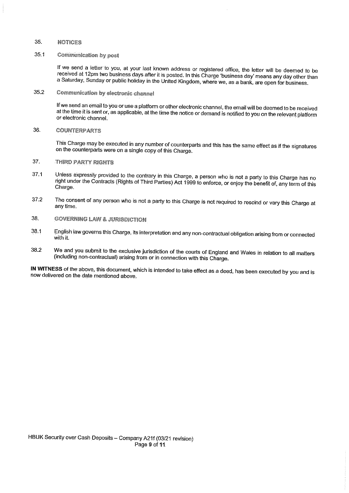#### 35. **NOTICES**

#### $35.1$ **Communication by post**

If we send a letter to you, at your last known address or registered office, the letter will be deemed to be received at 12pm two business days after it is posted. In this Charge 'business day' means any day other than a Saturday, Sunday or public holiday in the United Kingdom, where we, as a bank, are open for business.

**Communication by electronic channel** 35.2

> If we send an email to you or use a platform or other electronic channel, the email will be deemed to be received at the time it is sent or, as applicable, at the time the notice or demand is notified to you on the relevant platform or electronic channel.

**COUNTERPARTS** 36.

> This Charge may be executed in any number of counterparts and this has the same effect as if the signatures on the counterparts were on a single copy of this Charge.

- 37. **THIRD PARTY RIGHTS**
- Unless expressly provided to the contrary in this Charge, a person who is not a party to this Charge has no  $37.1$ right under the Contracts (Rights of Third Parties) Act 1999 to enforce, or enjoy the benefit of, any term of this Charge.
- The consent of any person who is not a party to this Charge is not required to rescind or vary this Charge at 37.2 any time.
- 38. **GOVERNING LAW & JURISDICTION**
- 38.1 English law governs this Charge, its interpretation and any non-contractual obligation arising from or connected with it.
- We and you submit to the exclusive jurisdiction of the courts of England and Wales in relation to all matters 38.2 (including non-contractual) arising from or in connection with this Charge.

IN WITNESS of the above, this document, which is intended to take effect as a deed, has been executed by you and is now delivered on the date mentioned above.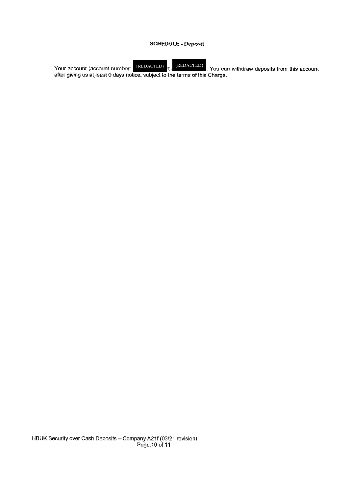## **SCHEDULE - Deposit**

Your account (account number: REDACTED) rt (REDACTED). You can after giving us at least 0 days notice, subject to the terms of this Charge.  $\{REDACTED\}$ . You can withdraw deposits from this account